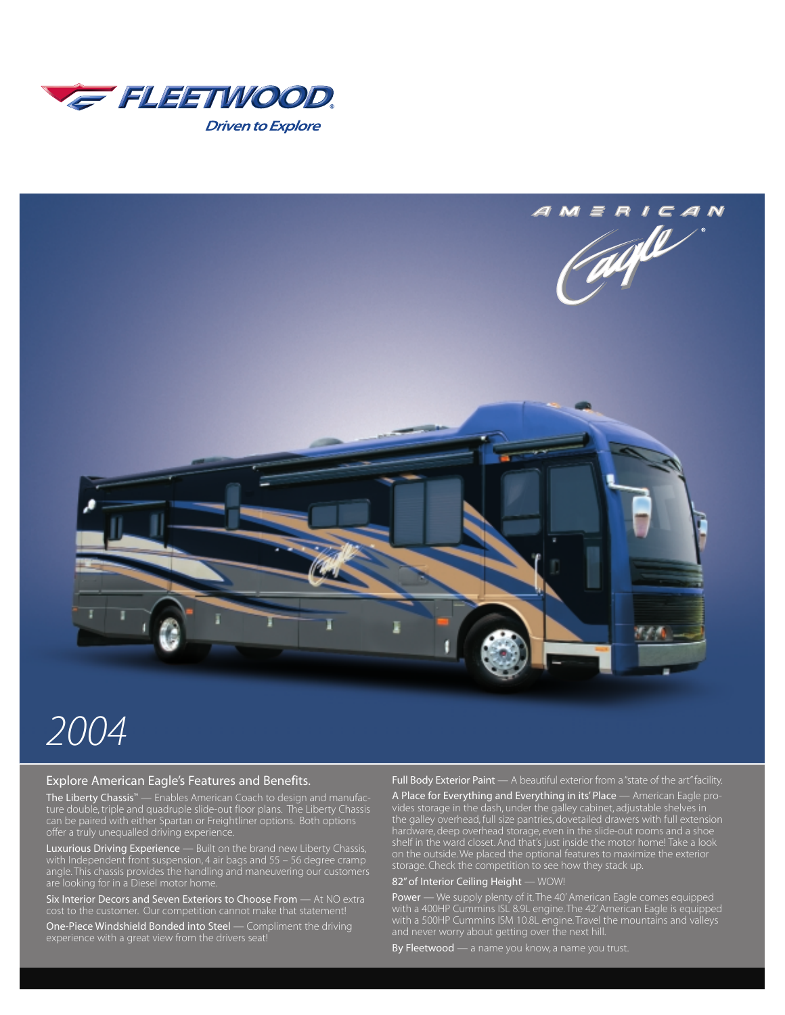



# *2004*

#### Explore American Eagle's Features and Benefits.

The Liberty Chassis™ — Enables American Coach to design and manufacoffer a truly unequalled driving experience.

Luxurious Driving Experience — Built on the brand new Liberty Chassis, angle. This chassis provides the handling and maneuvering our customers are looking for in a Diesel motor home.

Six Interior Decors and Seven Exteriors to Choose From — At NO extra

One-Piece Windshield Bonded into Steel — Compliment the driving

Full Body Exterior Paint - A beautiful exterior from a "state of the art" facility.

A Place for Everything and Everything in its' Place — American Eagle provides storage in the dash, under the galley cabinet, adjustable shelves in the galley overhead, full size pantries, dovetailed drawers with full extension hardware, deep overhead storage, even in the slide-out rooms and a shoe shelf in the ward closet. And that's just inside the motor home! Take a look on the outside. We placed the optional features to maximize the exterior storage. Check the competition to see how they stack up.

#### 82" of Interior Ceiling Height — WOW!

Power — We supply plenty of it. The 40' American Eagle comes equipped with a 400HP Cummins ISL 8.9L engine. The 42' American Eagle is equipped with a 500HP Cummins ISM 10.8L engine. Travel the mountains and valleys

By Fleetwood — a name you know, a name you trust.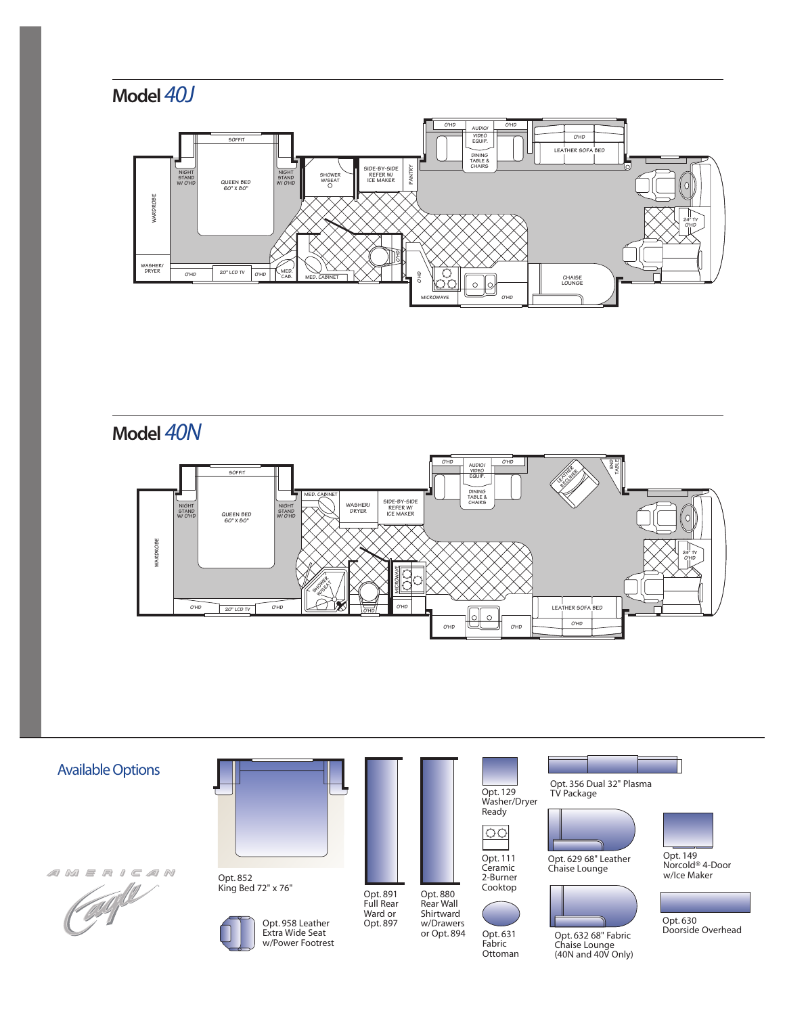





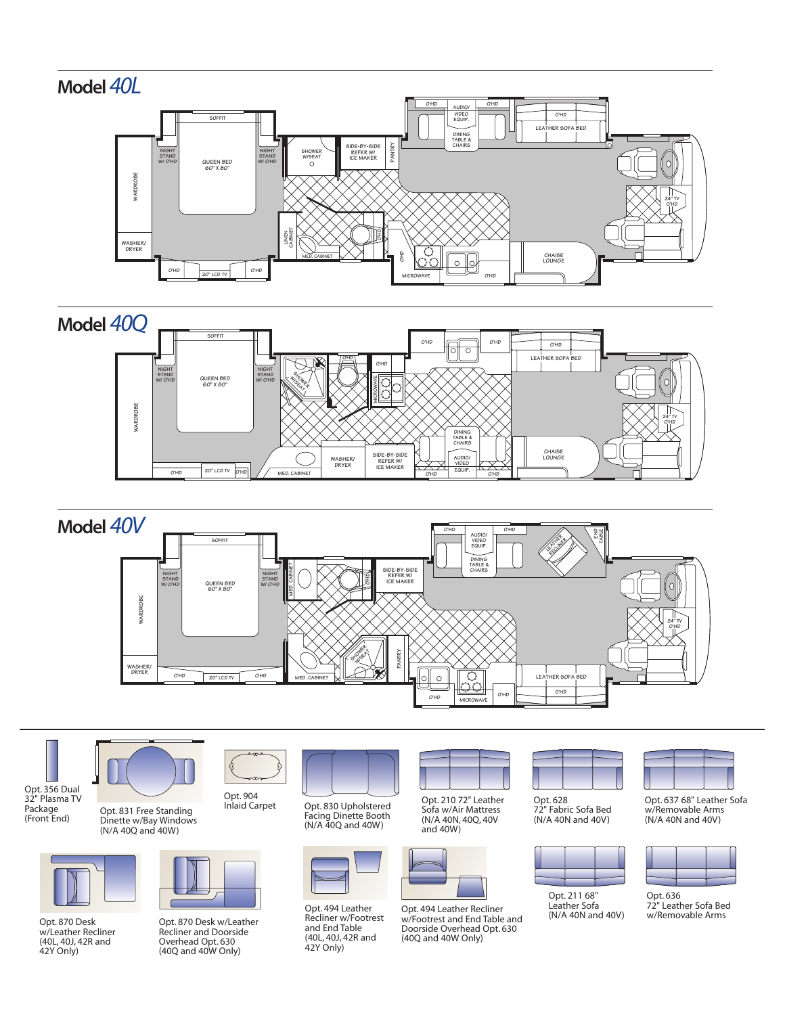









Opt. 870 Desk w/Leather Recliner (40L, 40J, 42R and 42Y Only)



Opt. 831 Free Standing Dinette w/Bay Windows (N/A 40Q and 40W)



Opt. 870 Desk w/Leather Recliner and Doorside Overhead Opt. 630 (40Q and 40W Only)

Opt. 830 Upholstered Facing Dinette Booth (N/A 40Q and 40W)



Opt. 494 Leather Recliner w/Footrest and End Table (40L, 40J, 42R and 42Y Only)



Opt. 210 72" Leather Sofa w/Air Mattress (N/A 40N, 40Q, 40V and 40W)



Opt. 494 Leather Recliner w/Footrest and End Table and Doorside Overhead Opt. 630 (40Q and 40W Only)



Opt. 628 72" Fabric Sofa Bed (N/A 40N and 40V)



Opt. 211 68" Leather Sofa (N/A 40N and 40V)



Opt. 637 68" Leather Sofa w/Removable Arms (N/A 40N and 40V)



Opt. 636 72" Leather Sofa Bed w/Removable Arms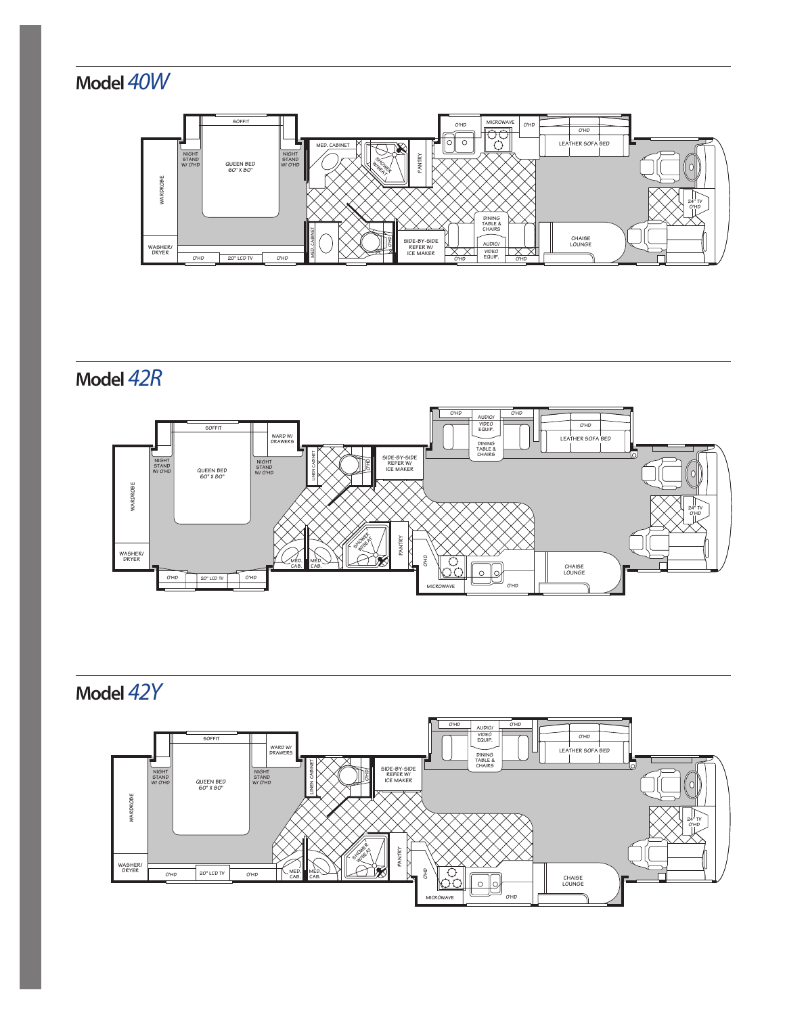



**Model** *42R*



**Model** *42Y*

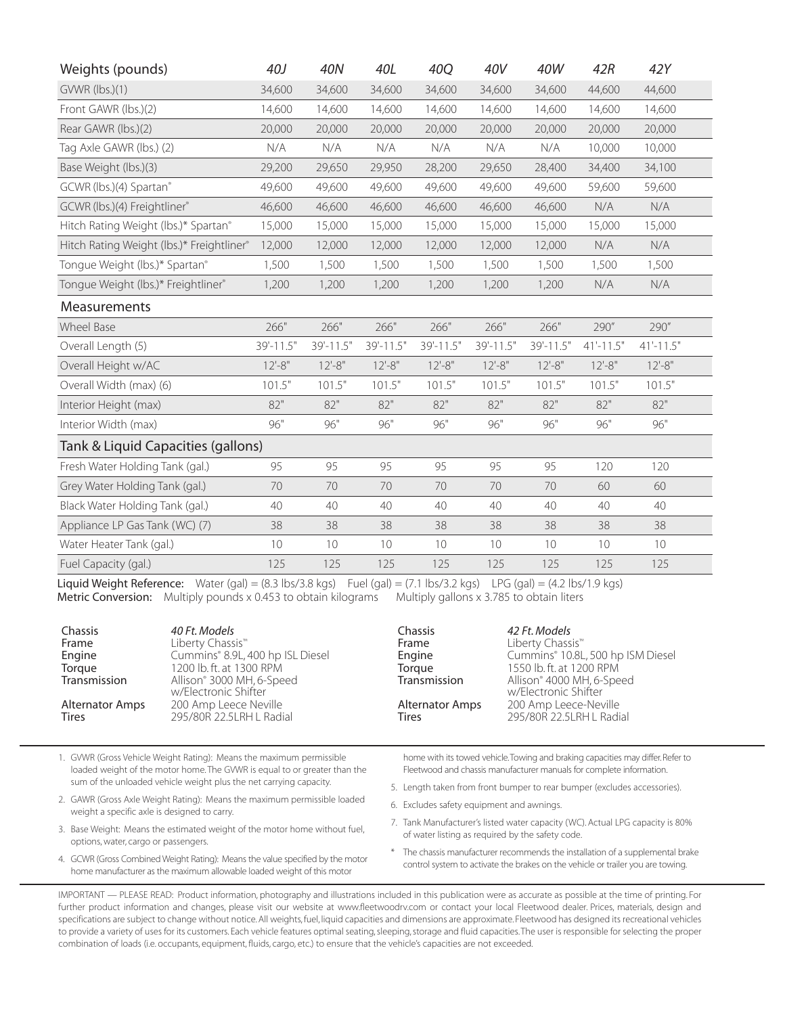| Weights (pounds)                          | 40J       | <b>40N</b>      | 40L             | 40Q       | 40V       | 40W       | 42R         | 42Y           |  |
|-------------------------------------------|-----------|-----------------|-----------------|-----------|-----------|-----------|-------------|---------------|--|
| GVWR (lbs.)(1)                            | 34,600    | 34,600          | 34,600          | 34,600    | 34,600    | 34,600    | 44,600      | 44,600        |  |
| Front GAWR (lbs.)(2)                      | 14,600    | 14,600          | 14,600          | 14,600    | 14,600    | 14,600    | 14,600      | 14,600        |  |
| Rear GAWR (lbs.)(2)                       | 20,000    | 20,000          | 20,000          | 20,000    | 20,000    | 20,000    | 20,000      | 20,000        |  |
| Tag Axle GAWR (lbs.) (2)                  | N/A       | N/A             | N/A             | N/A       | N/A       | N/A       | 10,000      | 10,000        |  |
| Base Weight (lbs.)(3)                     | 29,200    | 29,650          | 29,950          | 28,200    | 29,650    | 28,400    | 34,400      | 34,100        |  |
| GCWR (lbs.)(4) Spartan®                   | 49,600    | 49,600          | 49,600          | 49,600    | 49,600    | 49,600    | 59,600      | 59,600        |  |
| GCWR (lbs.)(4) Freightliner®              | 46,600    | 46,600          | 46,600          | 46,600    | 46,600    | 46,600    | N/A         | N/A           |  |
| Hitch Rating Weight (lbs.)* Spartan®      | 15,000    | 15,000          | 15,000          | 15,000    | 15,000    | 15,000    | 15,000      | 15,000        |  |
| Hitch Rating Weight (lbs.)* Freightliner® | 12,000    | 12,000          | 12,000          | 12,000    | 12,000    | 12,000    | N/A         | N/A           |  |
| Tongue Weight (lbs.)* Spartan®            | 1,500     | 1,500           | 1,500           | 1,500     | 1,500     | 1,500     | 1,500       | 1,500         |  |
| Tongue Weight (lbs.)* Freightliner®       | 1,200     | 1,200           | 1,200           | 1,200     | 1,200     | 1,200     | N/A         | N/A           |  |
| Measurements                              |           |                 |                 |           |           |           |             |               |  |
| Wheel Base                                | 266"      | 266"            | 266"            | 266"      | 266"      | 266"      | 290"        | 290"          |  |
| Overall Length (5)                        | 39'-11.5" | 39'-11.5"       | 39'-11.5"       | 39'-11.5" | 39'-11.5" | 39'-11.5" | $41'-11.5"$ | $41 - 11.5$ " |  |
| Overall Height w/AC                       | $12 - 8"$ | $12 - 8"$       | $12 - 8"$       | $12 - 8"$ | $12 - 8"$ | $12 - 8"$ | $12 - 8"$   | $12 - 8"$     |  |
| Overall Width (max) (6)                   | 101.5"    | 101.5"          | 101.5"          | 101.5"    | 101.5"    | 101.5"    | 101.5"      | 101.5"        |  |
| Interior Height (max)                     | 82"       | 82"             | 82"             | 82"       | 82"       | 82"       | 82"         | 82"           |  |
| Interior Width (max)                      | 96"       | 96"             | 96"             | $96"$     | 96"       | $96"$     | 96"         | 96"           |  |
| Tank & Liquid Capacities (gallons)        |           |                 |                 |           |           |           |             |               |  |
| Fresh Water Holding Tank (gal.)           | 95        | 95              | 95              | 95        | 95        | 95        | 120         | 120           |  |
| Grey Water Holding Tank (gal.)            | 70        | 70              | 70              | 70        | 70        | 70        | 60          | 60            |  |
| Black Water Holding Tank (gal.)           | 40        | 40              | 40              | 40        | 40        | 40        | 40          | 40            |  |
| Appliance LP Gas Tank (WC) (7)            | 38        | 38              | 38              | 38        | 38        | 38        | 38          | 38            |  |
| Water Heater Tank (gal.)                  | 10        | 10 <sup>°</sup> | 10 <sup>°</sup> | 10        | 10        | 10        | 10          | 10            |  |
| Fuel Capacity (gal.)                      | 125       | 125             | 125             | 125       | 125       | 125       | 125         | 125           |  |

Liquid Weight Reference: Water (gal) = (8.3 lbs/3.8 kgs) Fuel (gal) = (7.1 lbs/3.2 kgs) LPG (gal) = (4.2 lbs/1.9 kgs) Metric Conversion: Multiply pounds x 0.453 to obtain kilograms Multiply gallons x 3.785 to obtain liters

| Chassis<br>Frame<br>Engine<br>Torque<br>Transmission<br><b>Alternator Amps</b> | 40 Ft. Models<br>Liberty Chassis <sup>™</sup><br>Cummins® 8.9L, 400 hp ISL Diesel<br>1200 lb. ft. at 1300 RPM<br>Allison® 3000 MH, 6-Speed<br>w/Electronic Shifter<br>200 Amp Leece Neville | Chassis<br>Frame<br>Engine<br>Torgue<br>Transmission<br>Alternator Amps | 42 Ft. Models<br>Liberty Chassis <sup>™</sup><br>Cummins® 10.8L, 500 hp ISM Diesel<br>1550 lb. ft. at 1200 RPM<br>Allison® 4000 MH, 6-Speed<br>w/Electronic Shifter<br>200 Amp Leece-Neville |
|--------------------------------------------------------------------------------|---------------------------------------------------------------------------------------------------------------------------------------------------------------------------------------------|-------------------------------------------------------------------------|----------------------------------------------------------------------------------------------------------------------------------------------------------------------------------------------|
| Tires                                                                          | 295/80R 22.5LRH L Radial                                                                                                                                                                    | Tires                                                                   | 295/80R 22.5LRH L Radial                                                                                                                                                                     |

1. GVWR (Gross Vehicle Weight Rating): Means the maximum permissible loaded weight of the motor home. The GVWR is equal to or greater than the sum of the unloaded vehicle weight plus the net carrying capacity.

- 2. GAWR (Gross Axle Weight Rating): Means the maximum permissible loaded weight a specific axle is designed to carry.
- 3. Base Weight: Means the estimated weight of the motor home without fuel, options, water, cargo or passengers.
- 4. GCWR (Gross Combined Weight Rating): Means the value specified by the motor home manufacturer as the maximum allowable loaded weight of this motor

home with its towed vehicle.Towing and braking capacities may differ. Refer to Fleetwood and chassis manufacturer manuals for complete information.

- 5. Length taken from front bumper to rear bumper (excludes accessories).
- 6. Excludes safety equipment and awnings.
- 7. Tank Manufacturer's listed water capacity (WC). Actual LPG capacity is 80% of water listing as required by the safety code.
- The chassis manufacturer recommends the installation of a supplemental brake control system to activate the brakes on the vehicle or trailer you are towing.

IMPORTANT — PLEASE READ: Product information, photography and illustrations included in this publication were as accurate as possible at the time of printing. For further product information and changes, please visit our website at www.fleetwoodrv.com or contact your local Fleetwood dealer. Prices, materials, design and specifications are subject to change without notice. All weights, fuel, liquid capacities and dimensions are approximate. Fleetwood has designed its recreational vehicles to provide a variety of uses for its customers. Each vehicle features optimal seating, sleeping, storage and fluid capacities.The user is responsible for selecting the proper combination of loads (i.e. occupants, equipment, fluids, cargo, etc.) to ensure that the vehicle's capacities are not exceeded.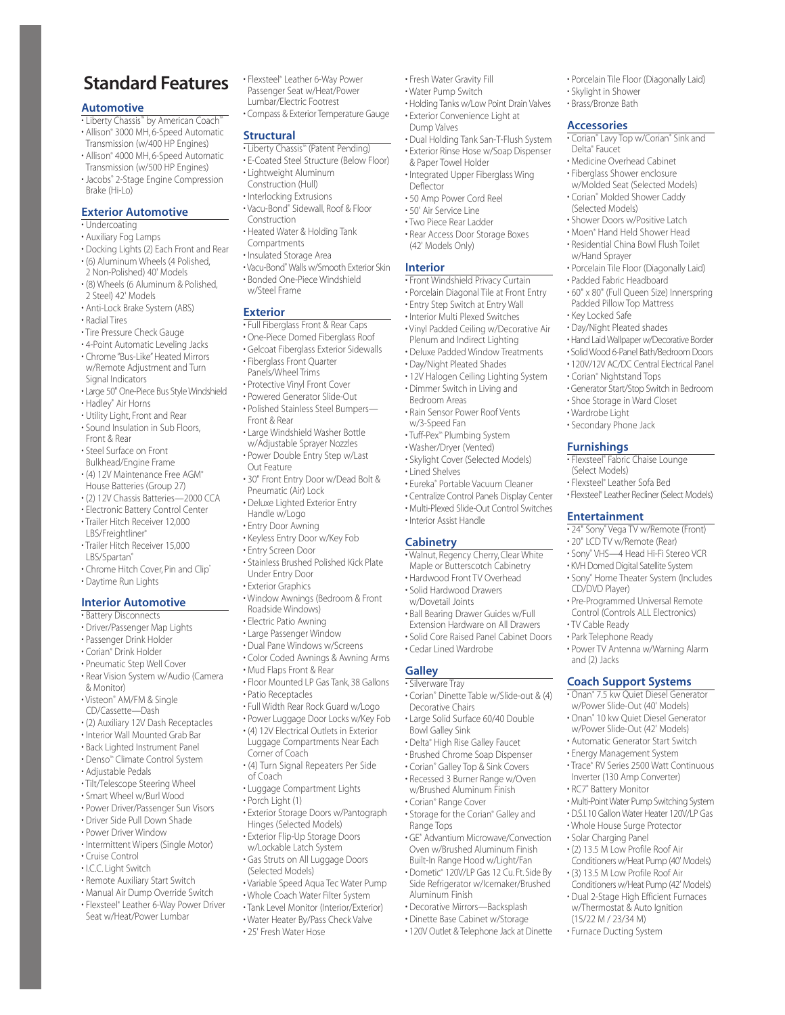## **Standard Features**

#### **Automotive**

- Liberty Chassis™ by American Coach™ • Allison® 3000 MH, 6-Speed Automatic Transmission (w/400 HP Engines)
- Allison® 4000 MH, 6-Speed Automatic Transmission (w/500 HP Engines)
- Jacobs® 2-Stage Engine Compression Brake (Hi-Lo)

#### **Exterior Automotive**

- Undercoating
- Auxiliary Fog Lamps
- Docking Lights (2) Each Front and Rear • (6) Aluminum Wheels (4 Polished,
- 2 Non-Polished) 40' Models • (8) Wheels (6 Aluminum & Polished,
- 2 Steel) 42' Models • Anti-Lock Brake System (ABS)
- Radial Tires
- Tire Pressure Check Gauge
- 4-Point Automatic Leveling Jacks
- Chrome "Bus-Like" Heated Mirrors w/Remote Adjustment and Turn Signal Indicators
- Large 50" One-Piece Bus Style Windshield • Hadley® Air Horns
- Utility Light, Front and Rear
- Sound Insulation in Sub Floors, Front & Rear
- Steel Surface on Front
- Bulkhead/Engine Frame
- (4) 12V Maintenance Free AGM® House Batteries (Group 27)
- (2) 12V Chassis Batteries—2000 CCA
- Electronic Battery Control Center
- Trailer Hitch Receiver 12,000 LBS/Freightliner®
- Trailer Hitch Receiver 15,000 LBS/Spartan®
- Chrome Hitch Cover, Pin and Clip\*
- Daytime Run Lights

#### **Interior Automotive**

- Battery Disconnects
- Driver/Passenger Map Lights
- Passenger Drink Holder
- Corian® Drink Holder
- Pneumatic Step Well Cover
- Rear Vision System w/Audio (Camera & Monitor)
- Visteon® AM/FM & Single CD/Cassette—Dash
- (2) Auxiliary 12V Dash Receptacles
- Interior Wall Mounted Grab Bar
- Back Lighted Instrument Panel
- Denso™ Climate Control System
- Adjustable Pedals
- Tilt/Telescope Steering Wheel
- Smart Wheel w/Burl Wood
- Power Driver/Passenger Sun Visors
- Driver Side Pull Down Shade
- Power Driver Window
- Intermittent Wipers (Single Motor) • Cruise Control
- I.C.C. Light Switch
- Remote Auxiliary Start Switch
- Manual Air Dump Override Switch
- Flexsteel® Leather 6-Way Power Driver Seat w/Heat/Power Lumbar

• Flexsteel® Leather 6-Way Power Passenger Seat w/Heat/Power Lumbar/Electric Footrest

• Compass & Exterior Temperature Gauge

• Fresh Water Gravity Fill • Water Pump Switch

& Paper Towel Holder • Integrated Upper Fiberglass Wing

• 50 Amp Power Cord Reel • 50' Air Service Line • Two Piece Rear Ladder • Rear Access Door Storage Boxes

• Front Windshield Privacy Curtain • Porcelain Diagonal Tile at Front Entry • Entry Step Switch at Entry Wall • Interior Multi Plexed Switches • Vinyl Padded Ceiling w/Decorative Air Plenum and Indirect Lighting • Deluxe Padded Window Treatments • Day/Night Pleated Shades • 12V Halogen Ceiling Lighting System • Dimmer Switch in Living and Bedroom Areas

• Rain Sensor Power Roof Vents

• Eureka® Portable Vacuum Cleaner • Centralize Control Panels Display Center • Multi-Plexed Slide-Out Control Switches

• Walnut, Regency Cherry, Clear White Maple or Butterscotch Cabinetry • Hardwood Front TV Overhead • Solid Hardwood Drawers w/Dovetail Joints

• Ball Bearing Drawer Guides w/Full Extension Hardware on All Drawers • Solid Core Raised Panel Cabinet Doors

• Corian® Dinette Table w/Slide-out & (4)

• Large Solid Surface 60/40 Double

• Storage for the Corian® Galley and

• Decorative Mirrors—Backsplash • Dinette Base Cabinet w/Storage • 120V Outlet & Telephone Jack at Dinette

• GE® Advantium Microwave/Convection Oven w/Brushed Aluminum Finish Built-In Range Hood w/Light/Fan • Dometic® 120V/LP Gas 12 Cu. Ft. Side By Side Refrigerator w/Icemaker/Brushed

• Delta® High Rise Galley Faucet • Brushed Chrome Soap Dispenser • Corian® Galley Top & Sink Covers • Recessed 3 Burner Range w/Oven w/Brushed Aluminum Finish • Corian® Range Cover

• Cedar Lined Wardrobe

Decorative Chairs

Bowl Galley Sink

Range Tops

Aluminum Finish

**Galley** • Silverware Tray

w/3-Speed Fan • Tuff-Pex™ Plumbing System • Washer/Dryer (Vented) • Skylight Cover (Selected Models)

• Lined Shelves

**Cabinetry**

• Interior Assist Handle

(42' Models Only)

Dump Valves

Deflector

**Interior**

• Holding Tanks w/Low Point Drain Valves • Exterior Convenience Light at

• Porcelain Tile Floor (Diagonally Laid)

• Corian® Lavy Top w/Corian® Sink and

• Medicine Overhead Cabinet • Fiberglass Shower enclosure w/Molded Seat (Selected Models) • Corian® Molded Shower Caddy (Selected Models)

• Shower Doors w/Positive Latch • Moen® Hand Held Shower Head • Residential China Bowl Flush Toilet

• Porcelain Tile Floor (Diagonally Laid) • Padded Fabric Headboard • 60" x 80" (Full Queen Size) Innerspring Padded Pillow Top Mattress • Key Locked Safe • Day/Night Pleated shades • Hand Laid Wallpaper w/Decorative Border • Solid Wood 6-Panel Bath/Bedroom Doors • 120V/12V AC/DC Central Electrical Panel

• Generator Start/Stop Switch in Bedroom • Shoe Storage in Ward Closet

• Flexsteel® Fabric Chaise Lounge

• 24" Sony® Vega TV w/Remote (Front) • 20" LCD TV w/Remote (Rear) • Sony® VHS—4 Head Hi-Fi Stereo VCR • KVH Domed Digital Satellite System • Sony® Home Theater System (Includes

• Pre-Programmed Universal Remote Control (Controls ALL Electronics)

• Power TV Antenna w/Warning Alarm

• Multi-Point Water Pump Switching System • D.S.I.10 Gallon Water Heater 120V/LP Gas • Whole House Surge Protector • Solar Charging Panel • (2) 13.5 M Low Profile Roof Air Conditioners w/Heat Pump (40' Models) • (3) 13.5 M Low Profile Roof Air Conditioners w/Heat Pump (42' Models) • Dual 2-Stage High Efficient Furnaces w/Thermostat & Auto Ignition (15/22 M / 23/34 M) • Furnace Ducting System

**Coach Support Systems** • Onan® 7.5 kw Quiet Diesel Generator w/Power Slide-Out (40' Models) • Onan® 10 kw Quiet Diesel Generator w/Power Slide-Out (42' Models) • Automatic Generator Start Switch • Energy Management System • Trace® RV Series 2500 Watt Continuous Inverter (130 Amp Converter) • RC7® Battery Monitor

• Skylight in Shower • Brass/Bronze Bath **Accessories**

Delta® Faucet

w/Hand Sprayer

• Corian® Nightstand Tops

• Wardrobe Light • Secondary Phone Jack **Furnishings**

(Select Models) • Flexsteel® Leather Sofa Bed • Flexsteel® Leather Recliner (Select Models)

**Entertainment**

CD/DVD Player)

• TV Cable Ready • Park Telephone Ready

and (2) Jacks

• Dual Holding Tank San-T-Flush System • Exterior Rinse Hose w/Soap Dispenser

#### **Structural**

- Liberty Chassis™ (Patent Pending)
- E-Coated Steel Structure (Below Floor)
- Lightweight Aluminum Construction (Hull)
- Interlocking Extrusions
- Vacu-Bond® Sidewall, Roof & Floor Construction
- Heated Water & Holding Tank Compartments
- Insulated Storage Area
- Vacu-Bond® Walls w/Smooth Exterior Skin • Bonded One-Piece Windshield
- w/Steel Frame

#### **Exterior**

- Full Fiberglass Front & Rear Caps
- One-Piece Domed Fiberglass Roof
- Gelcoat Fiberglass Exterior Sidewalls
- Fiberglass Front Quarter Panels/Wheel Trims
- Protective Vinyl Front Cover
- Powered Generator Slide-Out
- Polished Stainless Steel Bumpers— Front & Rear
- Large Windshield Washer Bottle w/Adjustable Sprayer Nozzles
- Power Double Entry Step w/Last Out Feature
- 30" Front Entry Door w/Dead Bolt & Pneumatic (Air) Lock
- Deluxe Lighted Exterior Entry Handle w/Logo
- Entry Door Awning
- Keyless Entry Door w/Key Fob
- Entry Screen Door
- Stainless Brushed Polished Kick Plate Under Entry Door
- Exterior Graphics
- Window Awnings (Bedroom & Front
- Roadside Windows)
- Electric Patio Awning
- Large Passenger Window
- Dual Pane Windows w/Screens
- Color Coded Awnings & Awning Arms
- Mud Flaps Front & Rear
- Floor Mounted LP Gas Tank, 38 Gallons
- Patio Receptacles
- Full Width Rear Rock Guard w/Logo • Power Luggage Door Locks w/Key Fob
- (4) 12V Electrical Outlets in Exterior Luggage Compartments Near Each
- Corner of Coach • (4) Turn Signal Repeaters Per Side
- of Coach
- Luggage Compartment Lights
- Porch Light (1)
- Exterior Storage Doors w/Pantograph Hinges (Selected Models)
- Exterior Flip-Up Storage Doors
- w/Lockable Latch System • Gas Struts on All Luggage Doors (Selected Models)
- Variable Speed Aqua Tec Water Pump

• 25' Fresh Water Hose

- Whole Coach Water Filter System
- Tank Level Monitor (Interior/Exterior) • Water Heater By/Pass Check Valve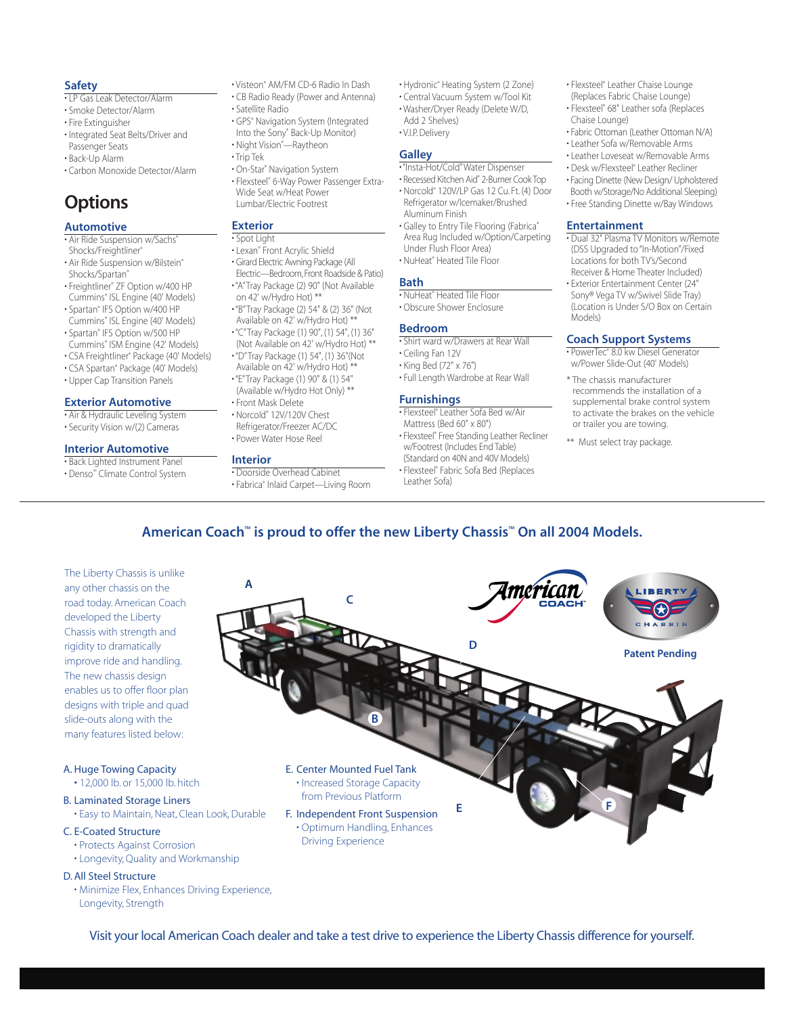#### **Safety**

- LP Gas Leak Detector/Alarm
- Smoke Detector/Alarm
- Fire Extinguisher
- Integrated Seat Belts/Driver and Passenger Seats
- Back-Up Alarm
- Carbon Monoxide Detector/Alarm

# **Options**

#### **Automotive**

- Air Ride Suspension w/Sachs®
- Shocks/Freightliner®
- Air Ride Suspension w/Bilstein® Shocks/Spartan®
- Freightliner® ZF Option w/400 HP Cummins® ISL Engine (40' Models)
- Spartan® IFS Option w/400 HP Cummins® ISL Engine (40' Models)
- Spartan® IFS Option w/500 HP
- Cummins® ISM Engine (42' Models)
- CSA Freightliner® Package (40' Models)
- CSA Spartan® Package (40' Models) • Upper Cap Transition Panels

#### **Exterior Automotive**

• Air & Hydraulic Leveling System

• Security Vision w/(2) Cameras

#### **Interior Automotive**

• Back Lighted Instrument Panel

• Denso™ Climate Control System

- Visteon® AM/FM CD-6 Radio In Dash
- CB Radio Ready (Power and Antenna)
- Satellite Radio
- GPS® Navigation System (Integrated
- Into the Sony® Back-Up Monitor) • Night Vision® —Raytheon
- Trip Tek
- On-Star® Navigation System
- Flexsteel® 6-Way Power Passenger Extra-Wide Seat w/Heat Power Lumbar/Electric Footrest

#### **Exterior**

#### • Spot Light

- Lexan® Front Acrylic Shield
- Girard Electric Awning Package (All Electric—Bedroom,Front Roadside & Patio)
- "A"Tray Package (2) 90" (Not Available on 42' w/Hydro Hot) \*\*
- "B"Tray Package (2) 54" & (2) 36" (Not Available on 42' w/Hydro Hot) \*\*
- "C"Tray Package (1) 90", (1) 54", (1) 36"
- (Not Available on 42' w/Hydro Hot) \*\* • "D"Tray Package (1) 54", (1) 36"(Not
- Available on 42' w/Hydro Hot) \*\*
- "E"Tray Package (1) 90" & (1) 54" (Available w/Hydro Hot Only) \*\*
- Front Mask Delete
- Norcold® 12V/120V Chest
- Refrigerator/Freezer AC/DC • Power Water Hose Reel

#### **Interior**

• Doorside Overhead Cabinet • Fabrica® Inlaid Carpet—Living Room

- Hydronic® Heating System (2 Zone)
- Central Vacuum System w/Tool Kit • Washer/Dryer Ready (Delete W/D,
- Add 2 Shelves) • V.I.P. Delivery

#### **Galley**

#### • "Insta-Hot/Cold"Water Dispenser

- Recessed Kitchen Aid® 2-Burner Cook Top • Norcold® 120V/LP Gas 12 Cu. Ft. (4) Door Refrigerator w/Icemaker/Brushed Aluminum Finish
- Galley to Entry Tile Flooring (Fabrica® Area Rug Included w/Option/Carpeting Under Flush Floor Area)

#### • NuHeat® Heated Tile Floor

#### **Bath**

#### • NuHeat® Heated Tile Floor • Obscure Shower Enclosure

### **Bedroom**

- Shirt ward w/Drawers at Rear Wall
- Ceiling Fan 12V
- King Bed (72" x 76")
- Full Length Wardrobe at Rear Wall

#### **Furnishings**

- Flexsteel® Leather Sofa Bed w/Air Mattress (Bed 60" x 80")
- Flexsteel® Free Standing Leather Recliner w/Footrest (Includes End Table) (Standard on 40N and 40V Models)
- Flexsteel® Fabric Sofa Bed (Replaces Leather Sofa)
- Flexsteel® Leather Chaise Lounge
- (Replaces Fabric Chaise Lounge) • Flexsteel® 68" Leather sofa (Replaces
- Chaise Lounge)
- Fabric Ottoman (Leather Ottoman N/A) • Leather Sofa w/Removable Arms
- 
- Leather Loveseat w/Removable Arms
- Desk w/Flexsteel® Leather Recliner • Facing Dinette (New Design/ Upholstered
- Booth w/Storage/No Additional Sleeping)
- Free Standing Dinette w/Bay Windows

#### **Entertainment**

- Dual 32" Plasma TV Monitors w/Remote (DSS Upgraded to "In-Motion"/Fixed Locations for both TV's/Second Receiver & Home Theater Included)
- Exterior Entertainment Center (24" Sony® Vega TV w/Swivel Slide Tray) (Location is Under S/O Box on Certain Models)

#### **Coach Support Systems**

- PowerTec® 8.0 kw Diesel Generator w/Power Slide-Out (40' Models)
- \* The chassis manufacturer recommends the installation of a supplemental brake control system to activate the brakes on the vehicle or trailer you are towing.
- \*\* Must select tray package.

#### **A C** The Liberty Chassis is unlike any other chassis on the road today. American Coach developed the Liberty Chassis with strength and rigidity to dramatically improve ride and handling. The new chassis design enables us to offer floor plan designs with triple and quad

#### A. Huge Towing Capacity • 12,000 lb. or 15,000 lb. hitch

slide-outs along with the many features listed below:

- 
- B. Laminated Storage Liners • Easy to Maintain, Neat, Clean Look, Durable

#### C. E-Coated Structure

- Protects Against Corrosion
- Longevity, Quality and Workmanship

#### D. All Steel Structure

• Minimize Flex, Enhances Driving Experience, Longevity, Strength



- 
- 

**American Coach™ is proud to offer the new Liberty Chassis™ On all 2004 Models.**